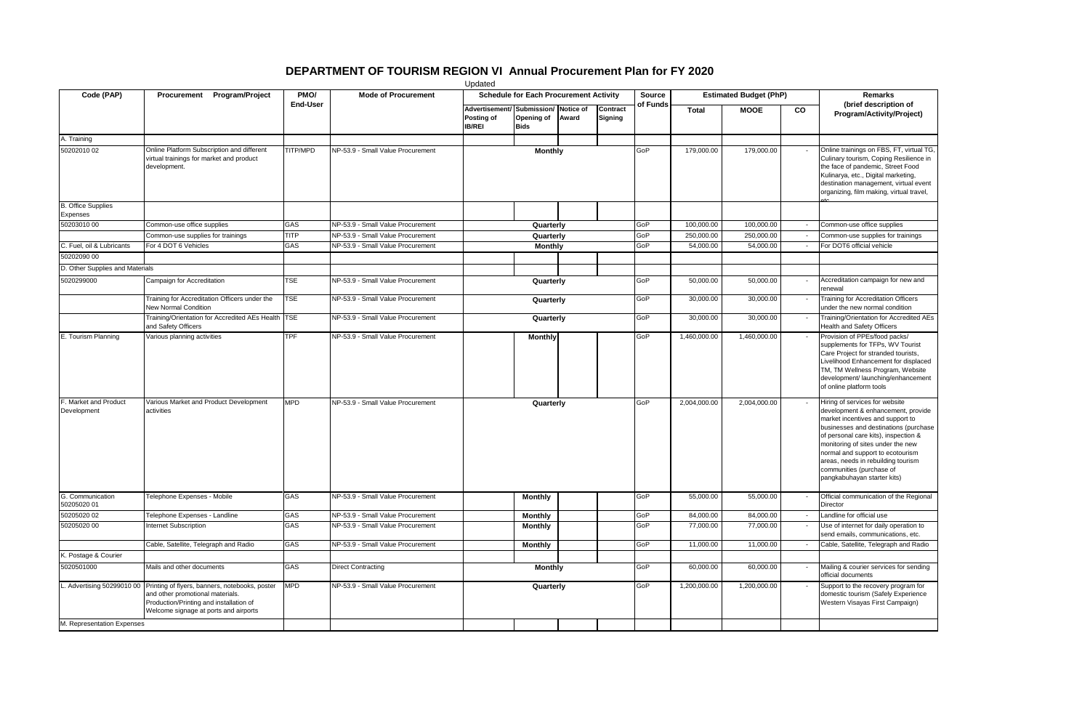## **DEPARTMENT OF TOURISM REGION VI Annual Procurement Plan for FY 2020**

| Updated                               |                                                                                                                                                                        |                  |                                   |                                                                     |                           |       |                            |              |                                         |              |                                                                                                                                                                                                                                                                                                                                                                     |                                                                                                                                                                                                                                                        |
|---------------------------------------|------------------------------------------------------------------------------------------------------------------------------------------------------------------------|------------------|-----------------------------------|---------------------------------------------------------------------|---------------------------|-------|----------------------------|--------------|-----------------------------------------|--------------|---------------------------------------------------------------------------------------------------------------------------------------------------------------------------------------------------------------------------------------------------------------------------------------------------------------------------------------------------------------------|--------------------------------------------------------------------------------------------------------------------------------------------------------------------------------------------------------------------------------------------------------|
| Code (PAP)                            | Procurement Program/Project                                                                                                                                            | PMO/<br>End-User | <b>Mode of Procurement</b>        | <b>Schedule for Each Procurement Activity</b>                       |                           |       |                            |              | <b>Estimated Budget (PhP)</b><br>Source |              |                                                                                                                                                                                                                                                                                                                                                                     | <b>Remarks</b>                                                                                                                                                                                                                                         |
|                                       |                                                                                                                                                                        |                  |                                   | Advertisement/ Submission/ Notice of<br>Posting of<br><b>IB/REI</b> | Opening of<br><b>Bids</b> | Award | Contract<br><b>Signing</b> | of Funds     | <b>Total</b>                            | <b>MOOE</b>  | <b>CO</b>                                                                                                                                                                                                                                                                                                                                                           | (brief description of<br>Program/Activity/Project)                                                                                                                                                                                                     |
| A. Training                           |                                                                                                                                                                        |                  |                                   |                                                                     |                           |       |                            |              |                                         |              |                                                                                                                                                                                                                                                                                                                                                                     |                                                                                                                                                                                                                                                        |
| 50202010 02                           | Online Platform Subscription and different<br>virtual trainings for market and product<br>development.                                                                 | TITP/MPD         | NP-53.9 - Small Value Procurement | <b>Monthly</b>                                                      |                           |       |                            | GoP          | 179,000.00                              | 179,000.00   |                                                                                                                                                                                                                                                                                                                                                                     | Online trainings on FBS, FT, virtual TG,<br>Culinary tourism, Coping Resilience in<br>the face of pandemic, Street Food<br>Kulinarya, etc., Digital marketing,<br>destination management, virtual event<br>organizing, film making, virtual travel,    |
| <b>B.</b> Office Supplies<br>Expenses |                                                                                                                                                                        |                  |                                   |                                                                     |                           |       |                            |              |                                         |              |                                                                                                                                                                                                                                                                                                                                                                     |                                                                                                                                                                                                                                                        |
| 50203010 00                           | Common-use office supplies                                                                                                                                             | GAS              | NP-53.9 - Small Value Procurement |                                                                     | Quarterly                 |       |                            | GoP          | 100,000.00                              | 100,000.00   | $\sim$                                                                                                                                                                                                                                                                                                                                                              | Common-use office supplies                                                                                                                                                                                                                             |
|                                       | Common-use supplies for trainings                                                                                                                                      | <b>TITP</b>      | NP-53.9 - Small Value Procurement | Quarterly                                                           |                           |       | GoP                        | 250,000.00   | 250,000.00                              | $\sim$       | Common-use supplies for trainings                                                                                                                                                                                                                                                                                                                                   |                                                                                                                                                                                                                                                        |
| C. Fuel, oil & Lubricants             | For 4 DOT 6 Vehicles                                                                                                                                                   | GAS              | NP-53.9 - Small Value Procurement |                                                                     | <b>Monthly</b>            |       |                            | GoP          | 54,000.00                               | 54,000.00    | $\sim$                                                                                                                                                                                                                                                                                                                                                              | For DOT6 official vehicle                                                                                                                                                                                                                              |
| 50202090 00                           |                                                                                                                                                                        |                  |                                   |                                                                     |                           |       |                            |              |                                         |              |                                                                                                                                                                                                                                                                                                                                                                     |                                                                                                                                                                                                                                                        |
| D. Other Supplies and Materials       |                                                                                                                                                                        |                  |                                   |                                                                     |                           |       |                            |              |                                         |              |                                                                                                                                                                                                                                                                                                                                                                     |                                                                                                                                                                                                                                                        |
| 5020299000                            | Campaign for Accreditation                                                                                                                                             | <b>TSE</b>       | NP-53.9 - Small Value Procurement |                                                                     | Quarterly                 |       |                            | GoP          | 50,000.00                               | 50,000.00    |                                                                                                                                                                                                                                                                                                                                                                     | Accreditation campaign for new and<br>renewal                                                                                                                                                                                                          |
|                                       | Training for Accreditation Officers under the<br>New Normal Condition                                                                                                  | <b>TSE</b>       | NP-53.9 - Small Value Procurement | Quarterly                                                           |                           |       |                            | GoP          | 30,000.00                               | 30,000.00    |                                                                                                                                                                                                                                                                                                                                                                     | Training for Accreditation Officers<br>under the new normal condition                                                                                                                                                                                  |
|                                       | Training/Orientation for Accredited AEs Health TSE<br>and Safety Officers                                                                                              |                  | NP-53.9 - Small Value Procurement | Quarterly                                                           |                           |       |                            | GoP          | 30,000.00                               | 30,000.00    |                                                                                                                                                                                                                                                                                                                                                                     | Training/Orientation for Accredited AEs<br>Health and Safety Officers                                                                                                                                                                                  |
| E. Tourism Planning                   | Various planning activities                                                                                                                                            | <b>TPF</b>       | NP-53.9 - Small Value Procurement |                                                                     | <b>Monthly</b>            |       |                            | GoP          | 1,460,000.00                            | 1,460,000.00 |                                                                                                                                                                                                                                                                                                                                                                     | Provision of PPEs/food packs/<br>supplements for TFPs, WV Tourist<br>Care Project for stranded tourists,<br>Livelihood Enhancement for displaced<br>TM, TM Wellness Program, Website<br>development/ launching/enhancement<br>of online platform tools |
| F. Market and Product<br>Development  | Various Market and Product Development<br>activities                                                                                                                   | <b>MPD</b>       | NP-53.9 - Small Value Procurement | Quarterly                                                           |                           |       | GoP                        | 2,004,000.00 | 2,004,000.00                            |              | Hiring of services for website<br>development & enhancement, provide<br>market incentives and support to<br>businesses and destinations (purchase<br>of personal care kits), inspection &<br>monitoring of sites under the new<br>normal and support to ecotourism<br>areas, needs in rebuilding tourism<br>communities (purchase of<br>pangkabuhayan starter kits) |                                                                                                                                                                                                                                                        |
| G. Communication<br>50205020 01       | Telephone Expenses - Mobile                                                                                                                                            | GAS              | NP-53.9 - Small Value Procurement |                                                                     | Monthly                   |       |                            | GoP          | 55,000.00                               | 55,000.00    |                                                                                                                                                                                                                                                                                                                                                                     | Official communication of the Regional<br>Director                                                                                                                                                                                                     |
| 50205020 02                           | Telephone Expenses - Landline                                                                                                                                          | GAS              | NP-53.9 - Small Value Procurement |                                                                     | Monthly                   |       |                            | GoP          | 84,000.00                               | 84,000.00    |                                                                                                                                                                                                                                                                                                                                                                     | Landline for official use                                                                                                                                                                                                                              |
| 50205020 00                           | Internet Subscription                                                                                                                                                  | GAS              | NP-53.9 - Small Value Procurement |                                                                     | <b>Monthly</b>            |       |                            | GoP          | 77,000.00                               | 77,000.00    |                                                                                                                                                                                                                                                                                                                                                                     | Use of internet for daily operation to<br>send emails, communications, etc.                                                                                                                                                                            |
|                                       | Cable, Satellite, Telegraph and Radio                                                                                                                                  | GAS              | NP-53.9 - Small Value Procurement |                                                                     | <b>Monthly</b>            |       |                            | GoP          | 11,000.00                               | 11,000.00    |                                                                                                                                                                                                                                                                                                                                                                     | Cable, Satellite, Telegraph and Radio                                                                                                                                                                                                                  |
| K. Postage & Courier                  |                                                                                                                                                                        |                  |                                   |                                                                     |                           |       |                            |              |                                         |              |                                                                                                                                                                                                                                                                                                                                                                     |                                                                                                                                                                                                                                                        |
| 5020501000                            | Mails and other documents                                                                                                                                              | GAS              | <b>Direct Contracting</b>         | <b>Monthly</b>                                                      |                           |       | GoP                        | 60,000.00    | 60,000.00                               |              | Mailing & courier services for sending<br>official documents                                                                                                                                                                                                                                                                                                        |                                                                                                                                                                                                                                                        |
| L. Advertising 50299010 00            | Printing of flyers, banners, notebooks, poster<br>and other promotional materials.<br>Production/Printing and installation of<br>Welcome signage at ports and airports | <b>MPD</b>       | NP-53.9 - Small Value Procurement | Quarterly                                                           |                           |       | GoP                        | 1,200,000.00 | 1,200,000.00                            |              | Support to the recovery program for<br>domestic tourism (Safely Experience<br>Western Visayas First Campaign)                                                                                                                                                                                                                                                       |                                                                                                                                                                                                                                                        |
| M. Representation Expenses            |                                                                                                                                                                        |                  |                                   |                                                                     |                           |       |                            |              |                                         |              |                                                                                                                                                                                                                                                                                                                                                                     |                                                                                                                                                                                                                                                        |